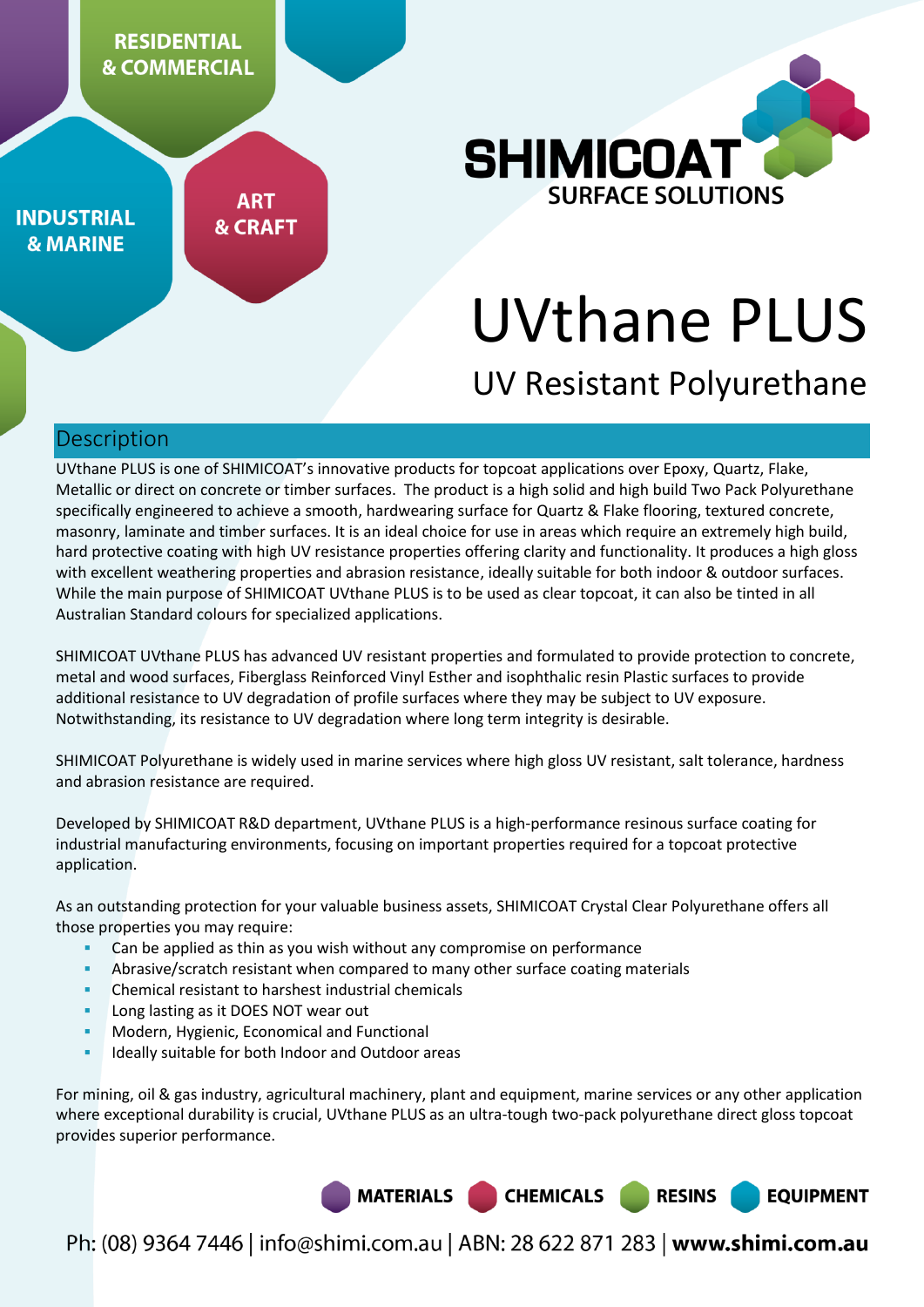

**INDUSTRIAL & MARINE** 

**ART & CRAFT** 



# UVthane PLUS

# UV Resistant Polyurethane

## Description

UVthane PLUS is one of SHIMICOAT's innovative products for topcoat applications over Epoxy, Quartz, Flake, Metallic or direct on concrete or timber surfaces. The product is a high solid and high build Two Pack Polyurethane specifically engineered to achieve a smooth, hardwearing surface for Quartz & Flake flooring, textured concrete, masonry, laminate and timber surfaces. It is an ideal choice for use in areas which require an extremely high build, hard protective coating with high UV resistance properties offering clarity and functionality. It produces a high gloss with excellent weathering properties and abrasion resistance, ideally suitable for both indoor & outdoor surfaces. While the main purpose of SHIMICOAT UVthane PLUS is to be used as clear topcoat, it can also be tinted in all Australian Standard colours for specialized applications.

SHIMICOAT UVthane PLUS has advanced UV resistant properties and formulated to provide protection to concrete, metal and wood surfaces, Fiberglass Reinforced Vinyl Esther and isophthalic resin Plastic surfaces to provide additional resistance to UV degradation of profile surfaces where they may be subject to UV exposure. Notwithstanding, its resistance to UV degradation where long term integrity is desirable.

SHIMICOAT Polyurethane is widely used in marine services where high gloss UV resistant, salt tolerance, hardness and abrasion resistance are required.

Developed by SHIMICOAT R&D department, UVthane PLUS is a high-performance resinous surface coating for industrial manufacturing environments, focusing on important properties required for a topcoat protective application.

As an outstanding protection for your valuable business assets, SHIMICOAT Crystal Clear Polyurethane offers all those properties you may require:

- Can be applied as thin as you wish without any compromise on performance
- Abrasive/scratch resistant when compared to many other surface coating materials
- Chemical resistant to harshest industrial chemicals
- Long lasting as it DOES NOT wear out
- Modern, Hygienic, Economical and Functional
- Ideally suitable for both Indoor and Outdoor areas

For mining, oil & gas industry, agricultural machinery, plant and equipment, marine services or any other application where exceptional durability is crucial, UVthane PLUS as an ultra-tough two-pack polyurethane direct gloss topcoat provides superior performance.



Ph: (08) 9364 7446 | info@shimi.com.au | ABN: 28 622 871 283 | www.shimi.com.au

**CHEMICALS** 

**RESINS** 

**EQUIPMENT**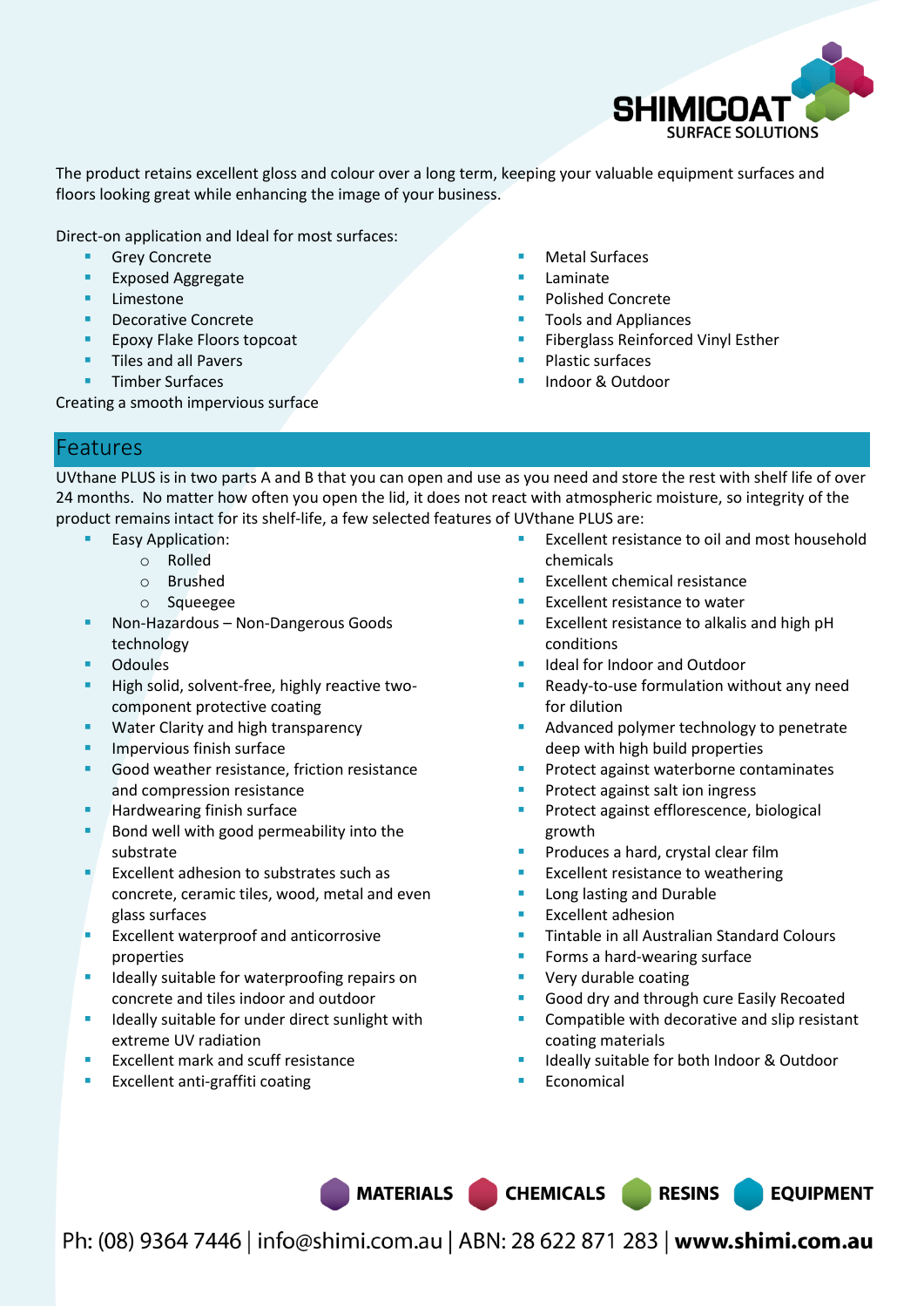

The product retains excellent gloss and colour over a long term, keeping your valuable equipment surfaces and floors looking great while enhancing the image of your business.

Direct-on application and Ideal for most surfaces:

- Grey Concrete
- Exposed Aggregate
- **Limestone**
- Decorative Concrete
- Epoxy Flake Floors topcoat
- **Tiles and all Pavers**
- Timber Surfaces

Creating a smooth impervious surface

- Metal Surfaces
- Laminate
- Polished Concrete
- Tools and Appliances
- Fiberglass Reinforced Vinyl Esther
- Plastic surfaces
- Indoor & Outdoor

## Features

UVthane PLUS is in two parts A and B that you can open and use as you need and store the rest with shelf life of over 24 months. No matter how often you open the lid, it does not react with atmospheric moisture, so integrity of the product remains intact for its shelf-life, a few selected features of UVthane PLUS are:

- Easy Application:
	- o Rolled
	- o Brushed
	- o Squeegee
- Non-Hazardous Non-Dangerous Goods technology
- **Odoules**
- **High solid, solvent-free, highly reactive two**component protective coating
- Water Clarity and high transparency
- **Impervious finish surface**
- Good weather resistance, friction resistance and compression resistance
- Hardwearing finish surface
- Bond well with good permeability into the substrate
- Excellent adhesion to substrates such as concrete, ceramic tiles, wood, metal and even glass surfaces
- $E<sub>E</sub>$  Excellent waterproof and anticorrosive properties
- **IDEALLY** suitable for waterproofing repairs on concrete and tiles indoor and outdoor
- **IDEALLY** suitable for under direct sunlight with extreme UV radiation
- Excellent mark and scuff resistance
- Excellent anti-graffiti coating
- Excellent resistance to oil and most household chemicals
- Excellent chemical resistance
- Excellent resistance to water
- Excellent resistance to alkalis and high pH conditions
- Ideal for Indoor and Outdoor
- Ready-to-use formulation without any need for dilution
- Advanced polymer technology to penetrate deep with high build properties
- Protect against waterborne contaminates
- Protect against salt ion ingress
- Protect against efflorescence, biological growth
- Produces a hard, crystal clear film
- Excellent resistance to weathering
- Long lasting and Durable
- Excellent adhesion
- Tintable in all Australian Standard Colours
- Forms a hard-wearing surface
- Very durable coating
- Good dry and through cure Easily Recoated
- Compatible with decorative and slip resistant coating materials
- Ideally suitable for both Indoor & Outdoor
- Economical

MATERIALS CHEMICALS RESINS

**EQUIPMENT**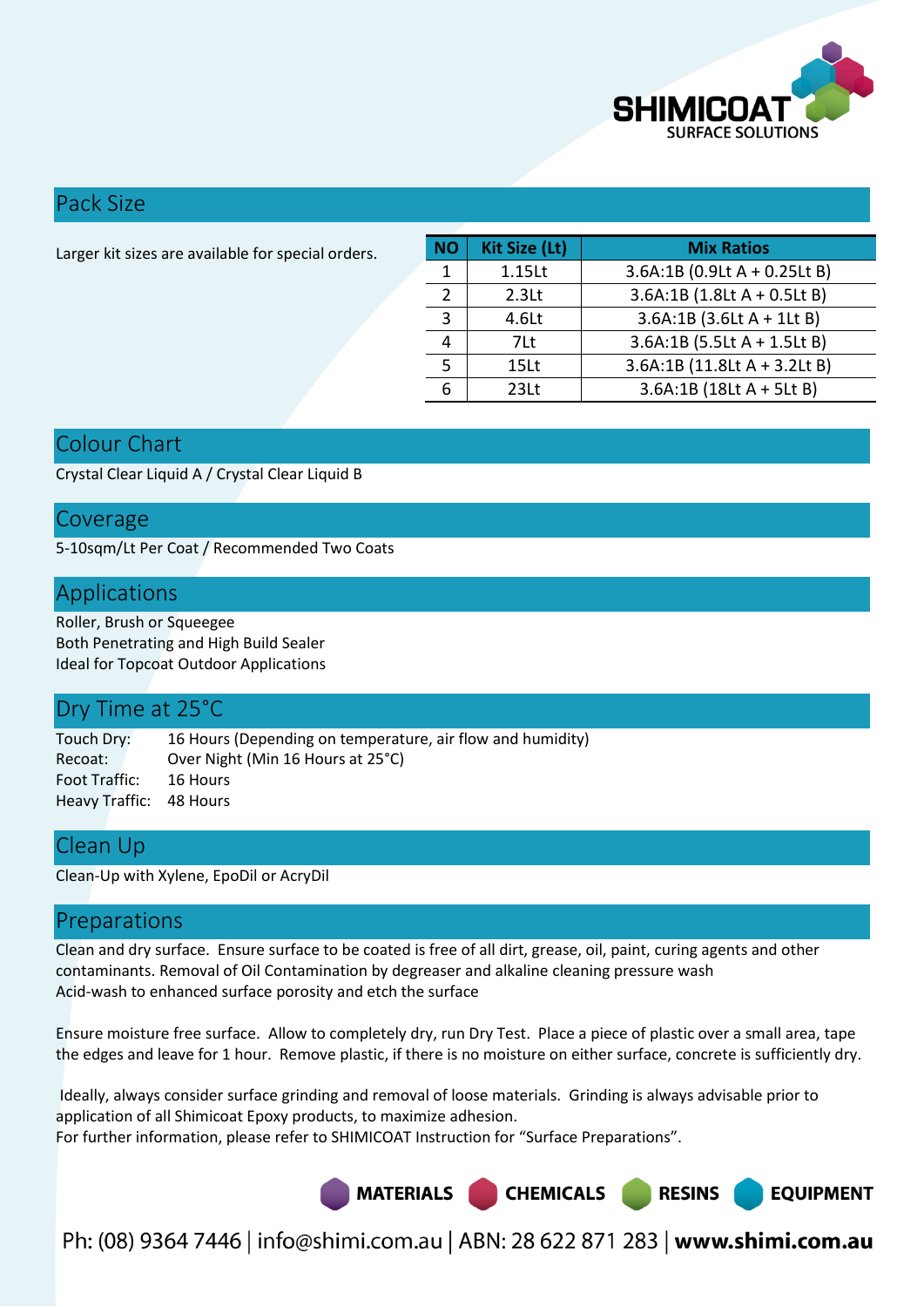

## Pack Size

| Larger kit sizes are available for special orders. | <b>NO</b> | Kit Size (Lt)     | <b>Mix Ratios</b>              |  |
|----------------------------------------------------|-----------|-------------------|--------------------------------|--|
|                                                    |           | 1.15Lt            | $3.6A:1B (0.9Lt A + 0.25Lt B)$ |  |
|                                                    |           | 2.3 <sub>kt</sub> | $3.6A:1B(1.8LtA + 0.5LtB)$     |  |
|                                                    |           | 4.6Lt             | $3.6A:1B(3.6LtA + 1LtB)$       |  |
|                                                    |           | 7Lt               | $3.6A:1B(5.5LtA + 1.5LtB)$     |  |
|                                                    |           | 15Lt              | 3.6A:1B (11.8Lt A + 3.2Lt B)   |  |
|                                                    | 6         | 23 <sub>lt</sub>  | $3.6A:1B(18LtA + 5LtB)$        |  |
|                                                    |           |                   |                                |  |

# Colour Chart

Crystal Clear Liquid A / Crystal Clear Liquid B

## Coverage

5-10sqm/Lt Per Coat / Recommended Two Coats

## Applications

Roller, Brush or Squeegee Both Penetrating and High Build Sealer Ideal for Topcoat Outdoor Applications

## Dry Time at 25°C

Touch Dry: 16 Hours (Depending on temperature, air flow and humidity) Recoat: Over Night (Min 16 Hours at 25°C) Foot Traffic: 16 Hours Heavy Traffic: 48 Hours

## Clean Up

Clean-Up with Xylene, EpoDil or AcryDil

## Preparations

Clean and dry surface. Ensure surface to be coated is free of all dirt, grease, oil, paint, curing agents and other contaminants. Removal of Oil Contamination by degreaser and alkaline cleaning pressure wash Acid-wash to enhanced surface porosity and etch the surface

Ensure moisture free surface. Allow to completely dry, run Dry Test. Place a piece of plastic over a small area, tape the edges and leave for 1 hour. Remove plastic, if there is no moisture on either surface, concrete is sufficiently dry.

 Ideally, always consider surface grinding and removal of loose materials. Grinding is always advisable prior to application of all Shimicoat Epoxy products, to maximize adhesion. For further information, please refer to SHIMICOAT Instruction for "Surface Preparations".

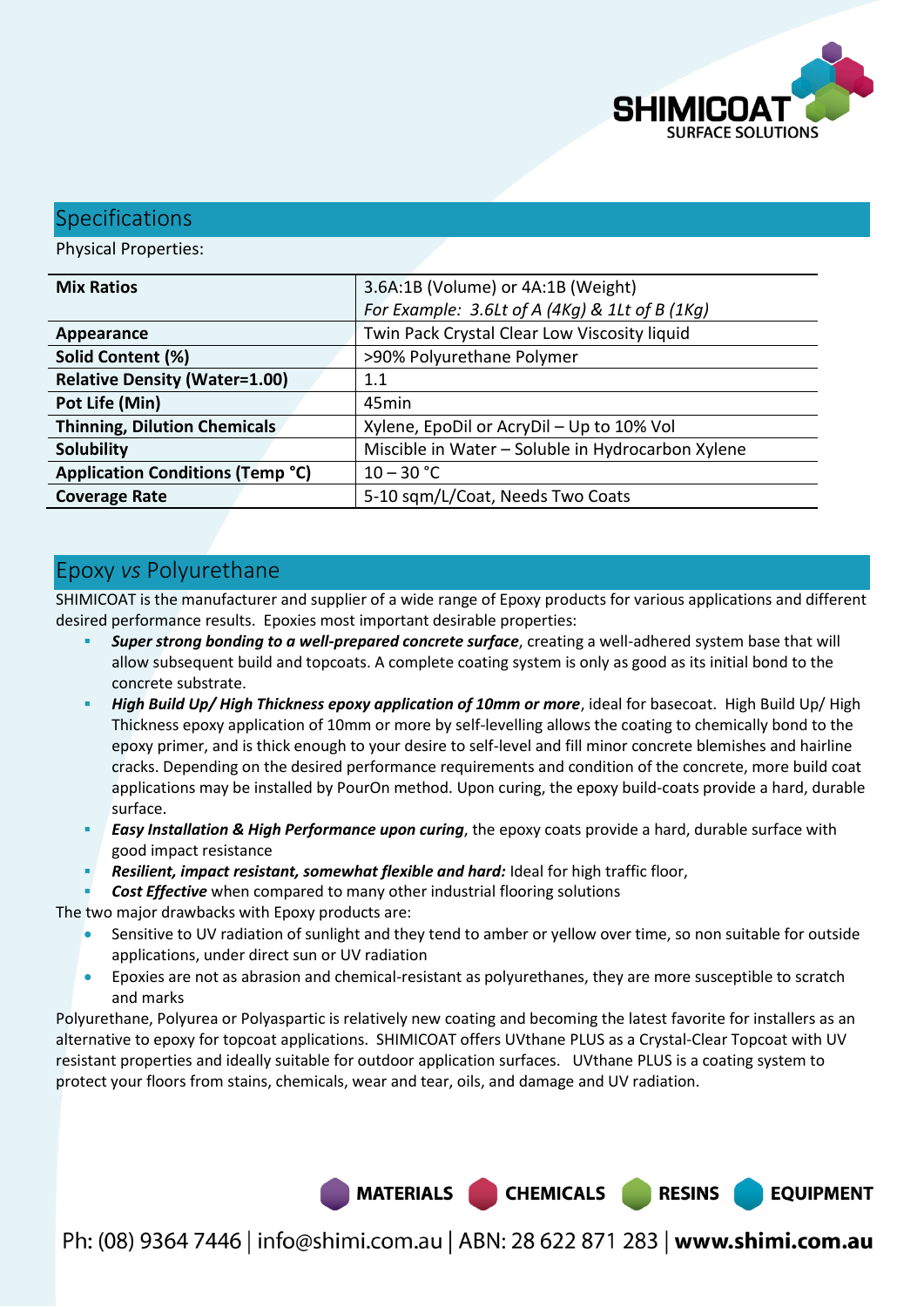

**EQUIPMENT** 

## **Specifications**

Physical Properties:

| <b>Mix Ratios</b>                       | 3.6A:1B (Volume) or 4A:1B (Weight)                |  |  |
|-----------------------------------------|---------------------------------------------------|--|--|
|                                         | For Example: 3.6Lt of A (4Kg) & 1Lt of B (1Kg)    |  |  |
| Appearance                              | Twin Pack Crystal Clear Low Viscosity liquid      |  |  |
| Solid Content (%)                       | >90% Polyurethane Polymer                         |  |  |
| <b>Relative Density (Water=1.00)</b>    | 1.1                                               |  |  |
| Pot Life (Min)                          | 45min                                             |  |  |
| <b>Thinning, Dilution Chemicals</b>     | Xylene, EpoDil or AcryDil - Up to 10% Vol         |  |  |
| <b>Solubility</b>                       | Miscible in Water - Soluble in Hydrocarbon Xylene |  |  |
| <b>Application Conditions (Temp °C)</b> | $10 - 30 °C$                                      |  |  |
| <b>Coverage Rate</b>                    | 5-10 sqm/L/Coat, Needs Two Coats                  |  |  |

# Epoxy *vs* Polyurethane

SHIMICOAT is the manufacturer and supplier of a wide range of Epoxy products for various applications and different desired performance results. Epoxies most important desirable properties:

- *Super strong bonding to a well-prepared concrete surface*, creating a well-adhered system base that will allow subsequent build and topcoats. A complete coating system is only as good as its initial bond to the concrete substrate.
- *High Build Up/ High Thickness epoxy application of 10mm or more*, ideal for basecoat. High Build Up/ High Thickness epoxy application of 10mm or more by self-levelling allows the coating to chemically bond to the epoxy primer, and is thick enough to your desire to self-level and fill minor concrete blemishes and hairline cracks. Depending on the desired performance requirements and condition of the concrete, more build coat applications may be installed by PourOn method. Upon curing, the epoxy build-coats provide a hard, durable surface.
- *Easy Installation & High Performance upon curing*, the epoxy coats provide a hard, durable surface with good impact resistance
- *Resilient, impact resistant, somewhat flexible and hard:* Ideal for high traffic floor,
- *Cost Effective* when compared to many other industrial flooring solutions

The two major drawbacks with Epoxy products are:

- Sensitive to UV radiation of sunlight and they tend to amber or yellow over time, so non suitable for outside applications, under direct sun or UV radiation
- Epoxies are not as abrasion and chemical-resistant as polyurethanes, they are more susceptible to scratch and marks

Polyurethane, Polyurea or Polyaspartic is relatively new coating and becoming the latest favorite for installers as an alternative to epoxy for topcoat applications. SHIMICOAT offers UVthane PLUS as a Crystal-Clear Topcoat with UV resistant properties and ideally suitable for outdoor application surfaces. UVthane PLUS is a coating system to protect your floors from stains, chemicals, wear and tear, oils, and damage and UV radiation.

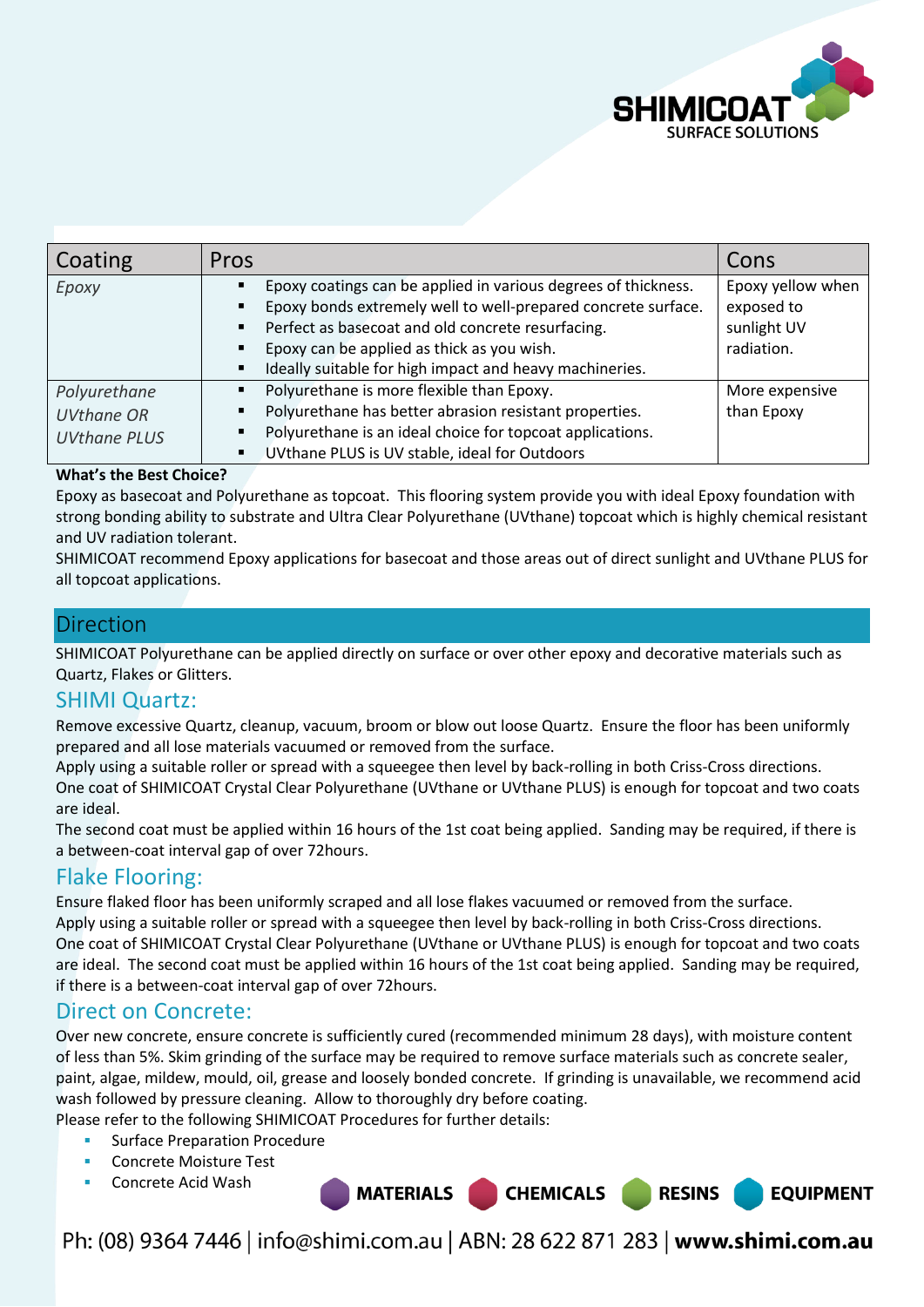

| Coating                                                  | Pros                                                                                                                                                                                                                                                                                                                                        | Cons                                                         |
|----------------------------------------------------------|---------------------------------------------------------------------------------------------------------------------------------------------------------------------------------------------------------------------------------------------------------------------------------------------------------------------------------------------|--------------------------------------------------------------|
| Epoxy                                                    | Epoxy coatings can be applied in various degrees of thickness.<br>Epoxy bonds extremely well to well-prepared concrete surface.<br>$\blacksquare$<br>Perfect as basecoat and old concrete resurfacing.<br>٠<br>Epoxy can be applied as thick as you wish.<br>$\blacksquare$<br>Ideally suitable for high impact and heavy machineries.<br>٠ | Epoxy yellow when<br>exposed to<br>sunlight UV<br>radiation. |
| Polyurethane<br><b>UVthane OR</b><br><b>UVthane PLUS</b> | Polyurethane is more flexible than Epoxy.<br>٠<br>Polyurethane has better abrasion resistant properties.<br>٠<br>Polyurethane is an ideal choice for topcoat applications.<br>٠<br>UVthane PLUS is UV stable, ideal for Outdoors<br>٠                                                                                                       | More expensive<br>than Epoxy                                 |

#### **What's the Best Choice?**

Epoxy as basecoat and Polyurethane as topcoat. This flooring system provide you with ideal Epoxy foundation with strong bonding ability to substrate and Ultra Clear Polyurethane (UVthane) topcoat which is highly chemical resistant and UV radiation tolerant.

SHIMICOAT recommend Epoxy applications for basecoat and those areas out of direct sunlight and UVthane PLUS for all topcoat applications.

## Direction

SHIMICOAT Polyurethane can be applied directly on surface or over other epoxy and decorative materials such as Quartz, Flakes or Glitters.

## SHIMI Quartz:

Remove excessive Quartz, cleanup, vacuum, broom or blow out loose Quartz. Ensure the floor has been uniformly prepared and all lose materials vacuumed or removed from the surface.

Apply using a suitable roller or spread with a squeegee then level by back-rolling in both Criss-Cross directions. One coat of SHIMICOAT Crystal Clear Polyurethane (UVthane or UVthane PLUS) is enough for topcoat and two coats are ideal.

The second coat must be applied within 16 hours of the 1st coat being applied. Sanding may be required, if there is a between-coat interval gap of over 72hours.

## Flake Flooring:

Ensure flaked floor has been uniformly scraped and all lose flakes vacuumed or removed from the surface. Apply using a suitable roller or spread with a squeegee then level by back-rolling in both Criss-Cross directions. One coat of SHIMICOAT Crystal Clear Polyurethane (UVthane or UVthane PLUS) is enough for topcoat and two coats are ideal. The second coat must be applied within 16 hours of the 1st coat being applied. Sanding may be required, if there is a between-coat interval gap of over 72hours.

## Direct on Concrete:

Over new concrete, ensure concrete is sufficiently cured (recommended minimum 28 days), with moisture content of less than 5%. Skim grinding of the surface may be required to remove surface materials such as concrete sealer, paint, algae, mildew, mould, oil, grease and loosely bonded concrete. If grinding is unavailable, we recommend acid wash followed by pressure cleaning. Allow to thoroughly dry before coating.

Please refer to the following SHIMICOAT Procedures for further details:

- Surface Preparation Procedure
- Concrete Moisture Test
- Concrete Acid Wash

Ph: (08) 9364 7446 | info@shimi.com.au | ABN: 28 622 871 283 | www.shimi.com.au

MATERIALS CHEMICALS RESINS

**EQUIPMENT**